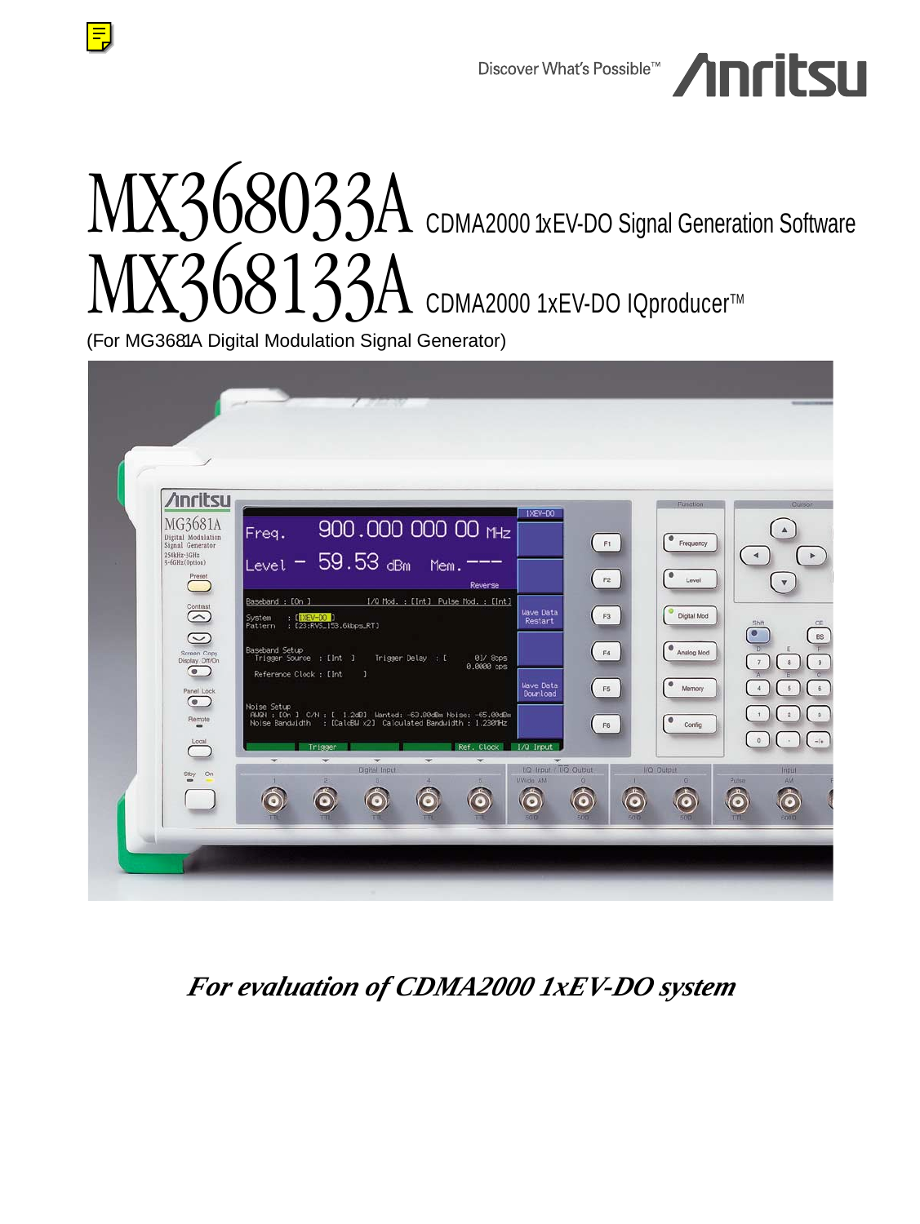Discover What's Possible<sup>™</sup> /INFILSLI

# MX368033A CDMA2000 1xEV-DO Signal Generation Software MX368133A CDMA2000 1xEV-DO IQproducer™

(For MG3681A Digital Modulation Signal Generator)



# *For evaluation of CDMA2000 1xEV-DO system*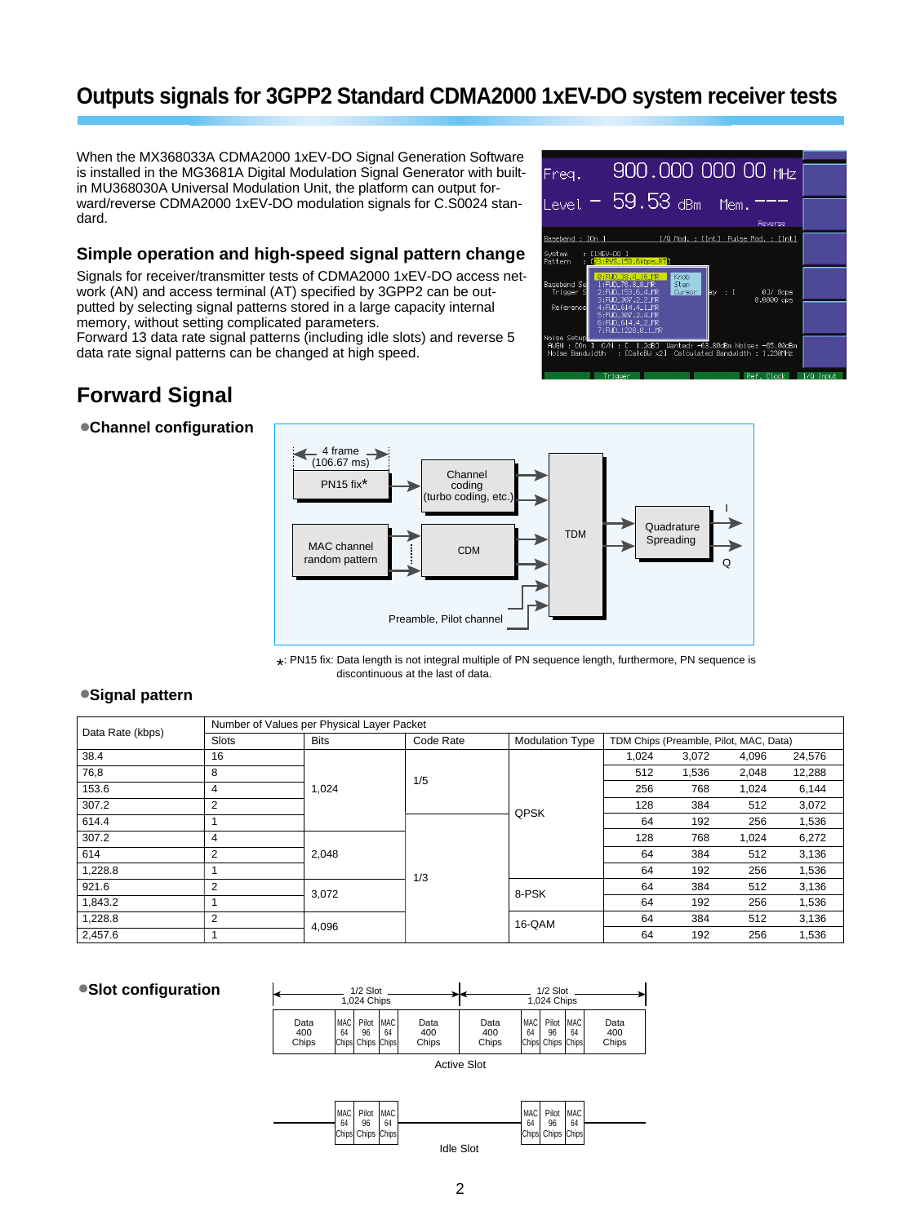# **Outputs signals for 3GPP2 Standard CDMA2000 1xEV-DO system receiver tests**

When the MX368033A CDMA2000 1xEV-DO Signal Generation Software is installed in the MG3681A Digital Modulation Signal Generator with builtin MU368030A Universal Modulation Unit, the platform can output forward/reverse CDMA2000 1xEV-DO modulation signals for C.S0024 standard.

### **Simple operation and high-speed signal pattern change**

Signals for receiver/transmitter tests of CDMA2000 1xEV-DO access network (AN) and access terminal (AT) specified by 3GPP2 can be outputted by selecting signal patterns stored in a large capacity internal memory, without setting complicated parameters.

Forward 13 data rate signal patterns (including idle slots) and reverse 5 data rate signal patterns can be changed at high speed.

# **Forward Signal**



### •**Channel configuration**



\* : PN15 fix: Data length is not integral multiple of PN sequence length, furthermore, PN sequence is discontinuous at the last of data.

### •**Signal pattern**

|                  | Number of Values per Physical Layer Packet |             |           |                        |                                        |       |       |        |  |
|------------------|--------------------------------------------|-------------|-----------|------------------------|----------------------------------------|-------|-------|--------|--|
| Data Rate (kbps) | <b>Slots</b>                               | <b>Bits</b> | Code Rate | <b>Modulation Type</b> | TDM Chips (Preamble, Pilot, MAC, Data) |       |       |        |  |
| 38.4             | 16                                         |             |           |                        | 1.024                                  | 3.072 | 4,096 | 24,576 |  |
| 76,8             | 8                                          | 1,024       | 1/5       |                        | 512                                    | 1,536 | 2,048 | 12,288 |  |
| 153.6            | 4                                          |             |           |                        | 256                                    | 768   | 1.024 | 6,144  |  |
| 307.2            | $\overline{2}$                             |             |           | QPSK                   | 128                                    | 384   | 512   | 3,072  |  |
| 614.4            |                                            |             |           |                        | 64                                     | 192   | 256   | 1,536  |  |
| 307.2            | 4                                          | 2,048       |           |                        | 128                                    | 768   | 1.024 | 6,272  |  |
| 614              | 2                                          |             |           |                        | 64                                     | 384   | 512   | 3,136  |  |
| 1,228.8          |                                            |             | 1/3       |                        | 64                                     | 192   | 256   | 1,536  |  |
| 921.6            | 2                                          | 3,072       |           | 8-PSK                  | 64                                     | 384   | 512   | 3,136  |  |
| 1,843.2          |                                            |             |           |                        | 64                                     | 192   | 256   | 1,536  |  |
| 1,228.8          | 2                                          | 4,096       |           | 16-QAM                 | 64                                     | 384   | 512   | 3,136  |  |
| 2,457.6          |                                            |             |           |                        | 64                                     | 192   | 256   | 1,536  |  |

### •**Slot configuration**

|                      |                  | $1/2$ Slot<br>1,024 Chips        |                        |                      |                      |             | $1/2$ Slot<br>1,024 Chips               |                   |                      |
|----------------------|------------------|----------------------------------|------------------------|----------------------|----------------------|-------------|-----------------------------------------|-------------------|----------------------|
| Data<br>400<br>Chips | <b>MAC</b><br>64 | Pilot<br>96<br>Chips Chips Chips | MAC <sup>1</sup><br>64 | Data<br>400<br>Chips | Data<br>400<br>Chips | MAC I<br>64 | Pilot<br>96<br><b>Chips Chips Chips</b> | <b>IMAC</b><br>64 | Data<br>400<br>Chips |



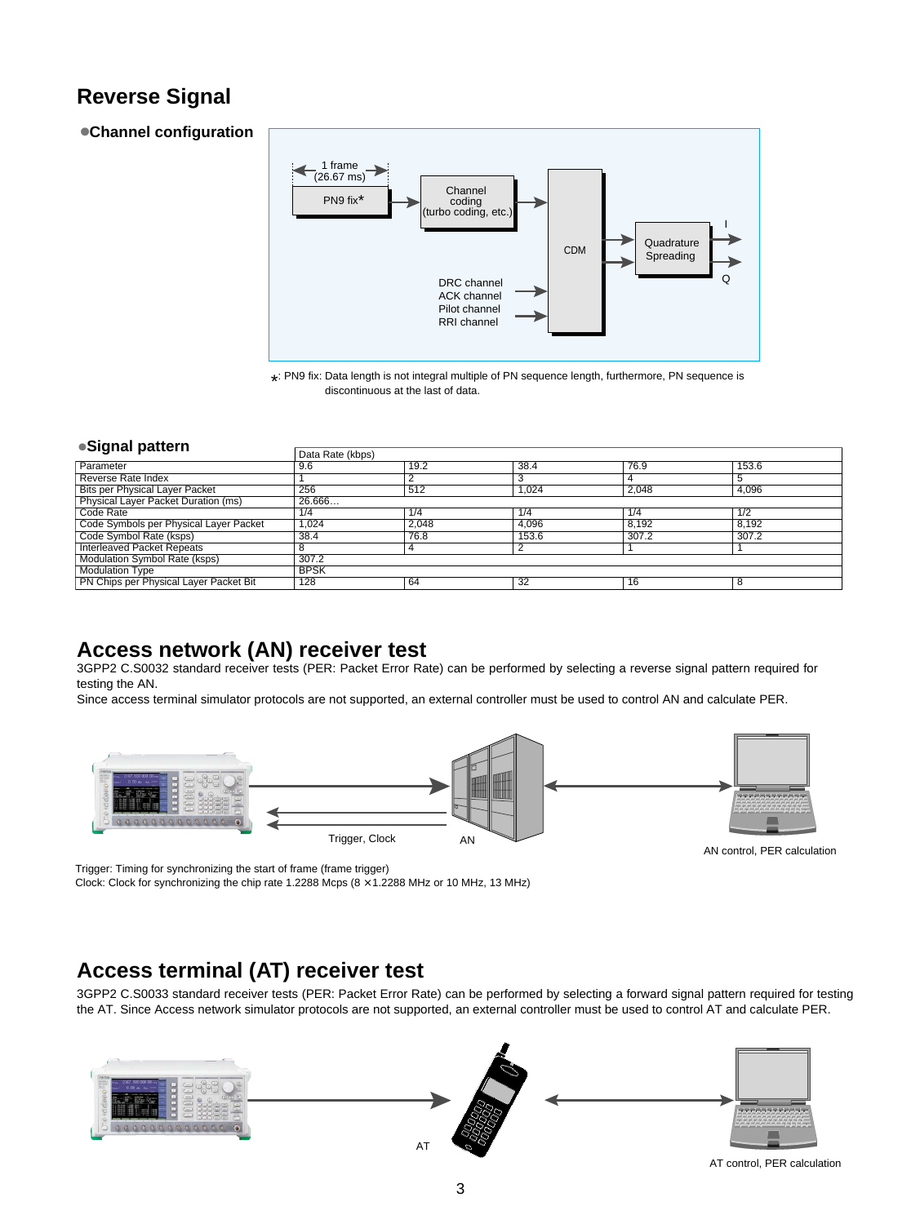# **Reverse Signal**

### •**Channel configuration**



\* : PN9 fix: Data length is not integral multiple of PN sequence length, furthermore, PN sequence is discontinuous at the last of data.

### •**Signal pattern**

| $\bullet$ , and $\bullet$ , and $\bullet$ , and $\bullet$ | Data Rate (kbps) |       |       |       |       |
|-----------------------------------------------------------|------------------|-------|-------|-------|-------|
| Parameter                                                 | 9.6              | 19.2  | 38.4  | 76.9  | 153.6 |
| Reverse Rate Index                                        |                  |       |       |       |       |
| Bits per Physical Layer Packet                            | 256              | 512   | 1.024 | 2.048 | 4.096 |
| Physical Layer Packet Duration (ms)                       | 26.666           |       |       |       |       |
| Code Rate                                                 | 1/4              | 1/4   | 1/4   | 1/4   | 1/2   |
| Code Symbols per Physical Layer Packet                    | 1.024            | 2.048 | 4.096 | 8.192 | 8.192 |
| Code Symbol Rate (ksps)                                   | 38.4             | 76.8  | 153.6 | 307.2 | 307.2 |
| <b>Interleaved Packet Repeats</b>                         |                  | 4     |       |       |       |
| Modulation Symbol Rate (ksps)                             | 307.2            |       |       |       |       |
| <b>Modulation Type</b>                                    | <b>BPSK</b>      |       |       |       |       |
| PN Chips per Physical Layer Packet Bit                    | 128              | 64    | 32    | 16    |       |

# **Access network (AN) receiver test**

3GPP2 C.S0032 standard receiver tests (PER: Packet Error Rate) can be performed by selecting a reverse signal pattern required for testing the AN.

Since access terminal simulator protocols are not supported, an external controller must be used to control AN and calculate PER.



Trigger: Timing for synchronizing the start of frame (frame trigger)

Clock: Clock for synchronizing the chip rate 1.2288 Mcps  $(8 \times 1.2288$  MHz or 10 MHz, 13 MHz)

# **Access terminal (AT) receiver test**

3GPP2 C.S0033 standard receiver tests (PER: Packet Error Rate) can be performed by selecting a forward signal pattern required for testing the AT. Since Access network simulator protocols are not supported, an external controller must be used to control AT and calculate PER.



AT control, PER calculation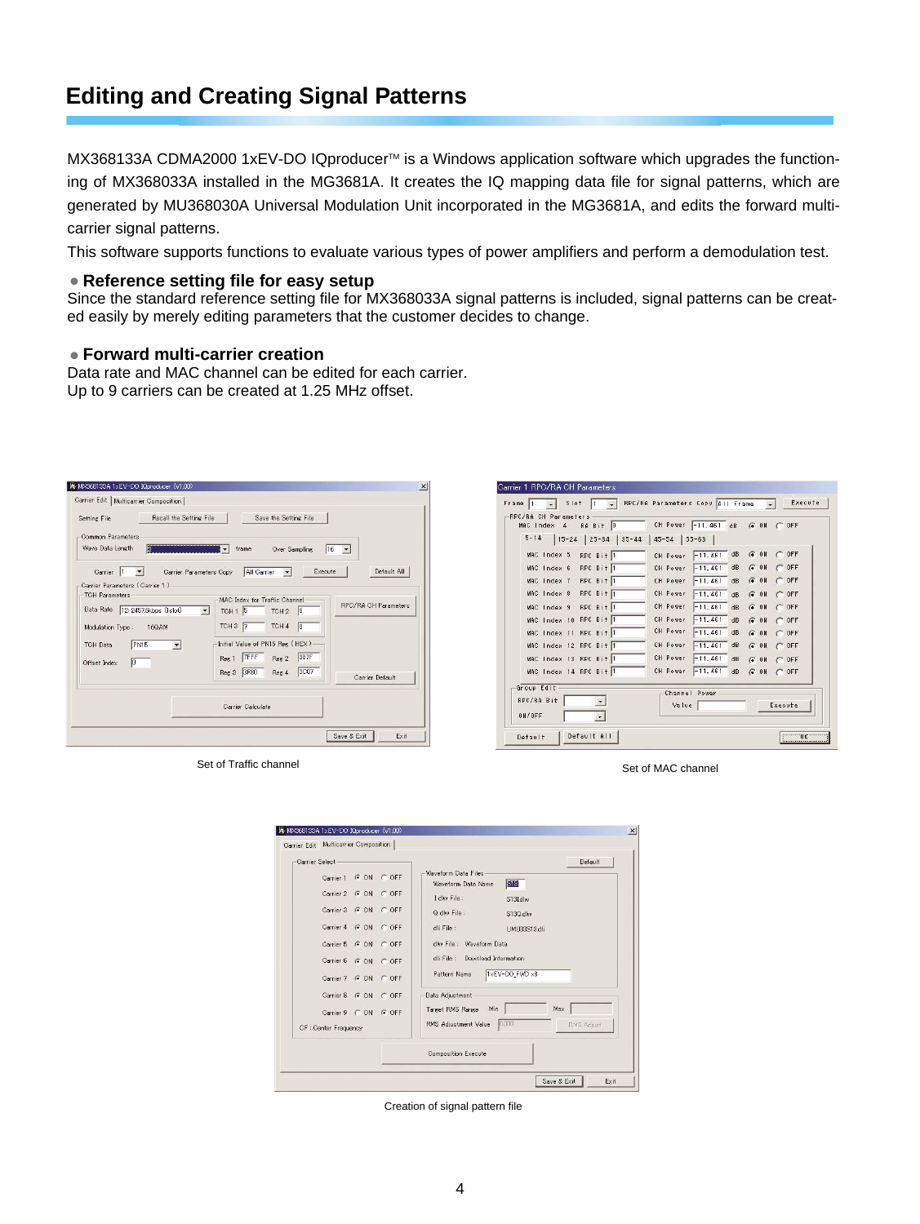# **Editing and Creating Signal Patterns**

MX368133A CDMA2000 1xEV-DO IQproducer™ is a Windows application software which upgrades the functioning of MX368033A installed in the MG3681A. It creates the IQ mapping data file for signal patterns, which are generated by MU368030A Universal Modulation Unit incorporated in the MG3681A, and edits the forward multicarrier signal patterns.

This software supports functions to evaluate various types of power amplifiers and perform a demodulation test.

### • **Reference setting file for easy setup**

Since the standard reference setting file for MX368033A signal patterns is included, signal patterns can be created easily by merely editing parameters that the customer decides to change.

### • **Forward multi-carrier creation**

Data rate and MAC channel can be edited for each carrier. Up to 9 carriers can be created at 1.25 MHz offset.

| Setting File                                            | Recall the Setting File |                                      | Save the Setting File                     |                            |                        |
|---------------------------------------------------------|-------------------------|--------------------------------------|-------------------------------------------|----------------------------|------------------------|
| Common Parameters<br>Wave Data Length<br>13             |                         | frame                                | Over Sampling                             | $16$ $\blacktriangleright$ |                        |
| Carrier 1<br>$\vert$<br>Carrier Parameters (Carrier 1.) | Carrier Parameters Copy | All Carrier                          | $\vert$                                   | Execute                    | Default All            |
| -TCH Parameters<br>Data Rate 12: 2457.6kbps (1slot)     |                         | $TCH1$ 5<br>$\overline{\phantom{a}}$ | MAC Index for Traffic Channel<br>$TCH2$ 6 |                            | RPC/RA CH Parameters   |
| Modulation Type:                                        | 16QAM                   | TCH 3 7                              | TCH <sub>4</sub><br>$\sqrt{8}$            |                            |                        |
| PN <sub>15</sub><br><b>TCH Data</b>                     | $\blacktriangledown$    |                                      | Initial Value of PN15 Reg (HEX)           |                            |                        |
| 0 <br>Offset Index                                      |                         | 7FFF<br>Reg 1<br>Reg 3 3F80          | 387F<br>Reg. 2<br>3C07<br>Reg 4           |                            | <b>Carrier Default</b> |
|                                                         |                         | Carrier Calculate                    |                                           |                            |                        |

Set of Traffic channel Set of MAC channel

| MAC Index 4 RA Bit 0                  |                 | CH Power -11.461 dB |                 |           | GON OFF |  |
|---------------------------------------|-----------------|---------------------|-----------------|-----------|---------|--|
| $5 - 14$<br>$15 - 24$ 25 - 34 35 - 44 | $45 - 54$ 55-63 |                     |                 |           |         |  |
| MAC Index 5<br>RPC Bit 1              | CH Power        | $-11.461$ dB        |                 | $G$ ON    | $C$ OFF |  |
| MAC Index 6<br>RPC Bit 1              | CH Power        | $-11.461$           | dB              | $G = 0$ N | $C$ OFF |  |
| RPC Bit 1<br>MAC Index 7              | CH Power        | $-11.461$ dB        |                 | $G$ ON    | $C$ OFF |  |
| MAC Index 8<br>RPC Bit T              | CH Power        | $-11.461$           | dB              | F0N       | $C$ OFF |  |
| RPC Bit 1<br>MAC Index 9              | CH Power        | $-11.461$           | dB              | $G = 0$ N | $C$ OFF |  |
| MAC Index 10 RPC Bit 1                | CH Power        | $-11.461$           | $\overline{dB}$ | $G = 0N$  | $C$ OFF |  |
| MAC Index 11 RPC Bit 1                | CH Power        | $-11.461$           | dB              | G 0N      | $C$ OFF |  |
| MAC Index 12 RPC Bit 1                | CH Power        | $-11.461$           | dB              | $G$ ON    | $C$ OFF |  |
| MAC Index 13 RPC Bit 1                | CH Power        | $-11.461$           | dB              | $G = 0N$  | $C$ OFF |  |
| MAC Index 14 RPC Bit 1                | CH Power        | $-11.461$           | dB              | $G$ $0$ H | $C$ OFF |  |
| Group Edit                            | Channel Power   |                     |                 |           |         |  |
| RPC/RA Bit<br>$\overline{ }$          | Value           |                     |                 |           | Execute |  |

| Carrier Select               |  |                                                  |                | Default    |
|------------------------------|--|--------------------------------------------------|----------------|------------|
| Carrier 1 G ON C OFF         |  | <b>Waveform Data Files</b><br>Waveform Data Name | 518            |            |
| Carrier 2 G ON C OFF         |  | I diw File:                                      | S13Idlw        |            |
| Carrier 3 G ON C OFF         |  | Q dlw File:                                      | S130 dlw       |            |
| Carrier 4 G ON C OFF         |  | dli File:                                        | UMU33S13.dli   |            |
| Carrier 5 G ON C OFF         |  | dlw File: Waveform Data                          |                |            |
| Carrier 6 G ON C OFF         |  | Download Information<br>dli File:                |                |            |
| Carrier 7 G ON C OFF         |  | Pattern Name                                     | 1xEV-DO_FWD x8 |            |
| Carrier 8 G ON C OFF         |  | Data Adjustment                                  |                |            |
| Carrier 9 C ON G OFF         |  | Min<br>Target RMS Range                          |                | Max        |
| <b>CF</b> : Center Frequency |  | RMS Adjustment Value                             | 0.000          | RMS Adjust |
|                              |  | <b>Composition Execute</b>                       |                |            |

Creation of signal pattern file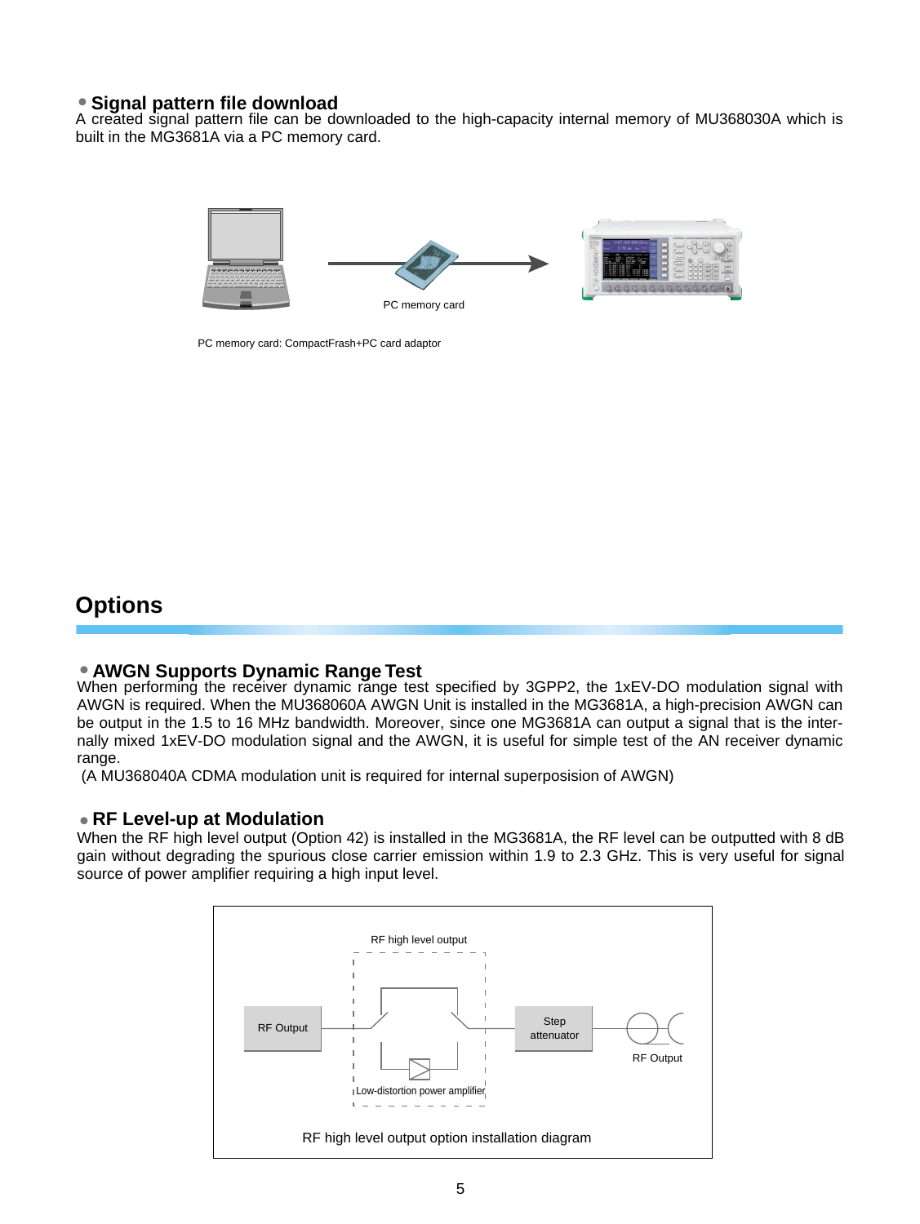• **Signal pattern file download**<br>A created signal pattern file can be downloaded to the high-capacity internal memory of MU368030A which is built in the MG3681A via a PC memory card.



PC memory card: CompactFrash+PC card adaptor

# **Options**

**• AWGN Supports Dynamic Range Test**<br>When performing the receiver dynamic range test specified by 3GPP2, the 1xEV-DO modulation signal with AWGN is required. When the MU368060A AWGN Unit is installed in the MG3681A, a high-precision AWGN can be output in the 1.5 to 16 MHz bandwidth. Moreover, since one MG3681A can output a signal that is the internally mixed 1xEV-DO modulation signal and the AWGN, it is useful for simple test of the AN receiver dynamic range.

(A MU368040A CDMA modulation unit is required for internal superposision of AWGN)

### • **RF Level-up at Modulation**

When the RF high level output (Option 42) is installed in the MG3681A, the RF level can be outputted with 8 dB gain without degrading the spurious close carrier emission within 1.9 to 2.3 GHz. This is very useful for signal source of power amplifier requiring a high input level.

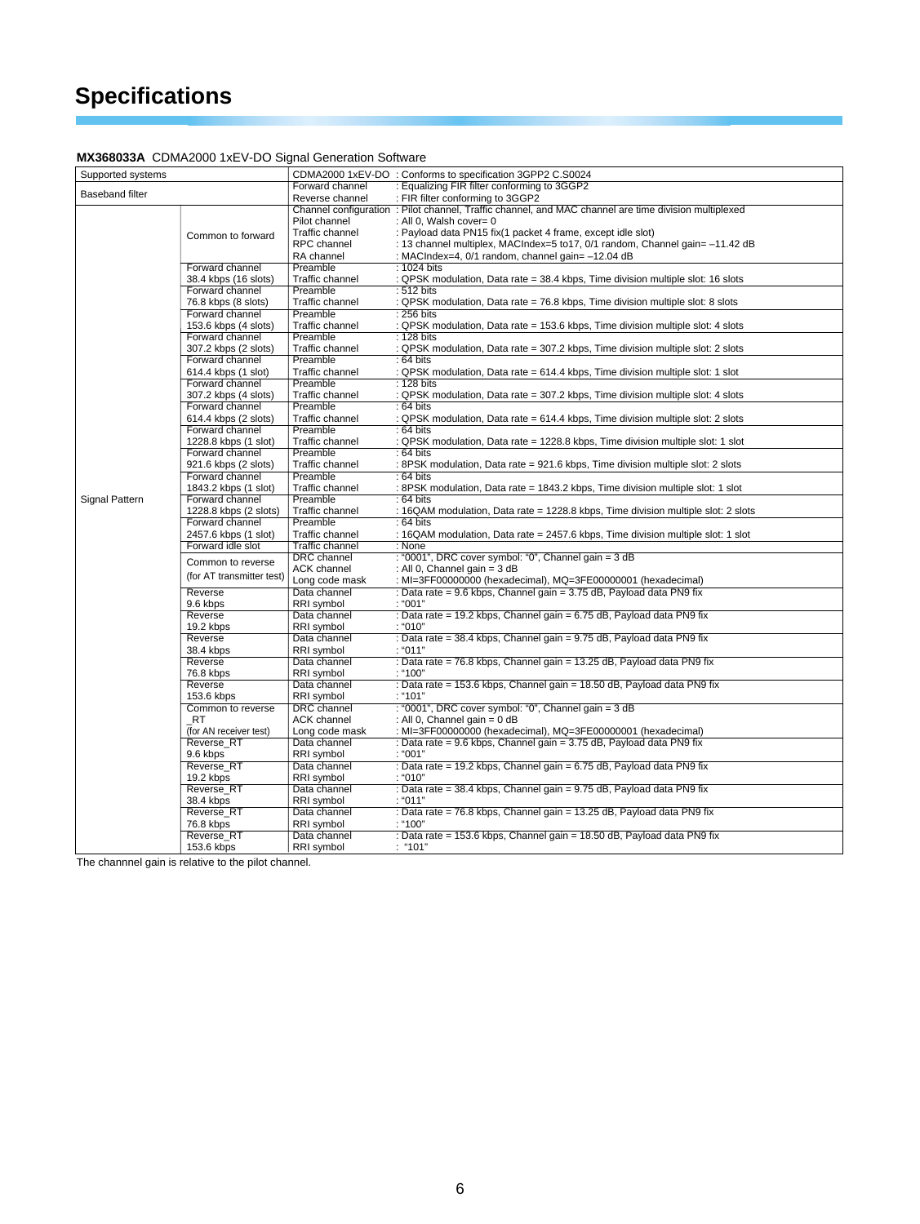# **Specifications**

### **MX368033A** CDMA2000 1xEV-DO Signal Generation Software

| Supported systems<br>CDMA2000 1xEV-DO : Conforms to specification 3GPP2 C.S0024<br>: Equalizing FIR filter conforming to 3GGP2<br>Forward channel<br><b>Baseband filter</b><br>Reverse channel<br>: FIR filter conforming to 3GGP2<br>Channel configuration : Pilot channel, Traffic channel, and MAC channel are time division multiplexed<br>Pilot channel<br>: All 0, Walsh cover= 0<br>Traffic channel<br>: Payload data PN15 fix(1 packet 4 frame, except idle slot)<br>Common to forward<br>RPC channel<br>: 13 channel multiplex, MACIndex=5 to17, 0/1 random, Channel gain= -11.42 dB<br>RA channel<br>: MACIndex=4, 0/1 random, channel gain= -12.04 dB<br>Forward channel<br>Preamble<br>: 1024 bits<br>Traffic channel<br>: QPSK modulation, Data rate = 38.4 kbps, Time division multiple slot: 16 slots<br>38.4 kbps (16 slots)<br>Preamble<br>: 512 bits<br>Forward channel<br>Traffic channel<br>: QPSK modulation, Data rate = 76.8 kbps, Time division multiple slot: 8 slots<br>76.8 kbps (8 slots)<br>Forward channel<br>Preamble<br>: 256 bits<br>153.6 kbps (4 slots)<br>Traffic channel<br>: QPSK modulation, Data rate = 153.6 kbps, Time division multiple slot: 4 slots<br>Forward channel<br>Preamble<br>$: 128 \text{ bits}$<br>307.2 kbps (2 slots)<br>Traffic channel<br>: QPSK modulation, Data rate = 307.2 kbps, Time division multiple slot: 2 slots |  |
|---------------------------------------------------------------------------------------------------------------------------------------------------------------------------------------------------------------------------------------------------------------------------------------------------------------------------------------------------------------------------------------------------------------------------------------------------------------------------------------------------------------------------------------------------------------------------------------------------------------------------------------------------------------------------------------------------------------------------------------------------------------------------------------------------------------------------------------------------------------------------------------------------------------------------------------------------------------------------------------------------------------------------------------------------------------------------------------------------------------------------------------------------------------------------------------------------------------------------------------------------------------------------------------------------------------------------------------------------------------------------------------|--|
|                                                                                                                                                                                                                                                                                                                                                                                                                                                                                                                                                                                                                                                                                                                                                                                                                                                                                                                                                                                                                                                                                                                                                                                                                                                                                                                                                                                       |  |
|                                                                                                                                                                                                                                                                                                                                                                                                                                                                                                                                                                                                                                                                                                                                                                                                                                                                                                                                                                                                                                                                                                                                                                                                                                                                                                                                                                                       |  |
|                                                                                                                                                                                                                                                                                                                                                                                                                                                                                                                                                                                                                                                                                                                                                                                                                                                                                                                                                                                                                                                                                                                                                                                                                                                                                                                                                                                       |  |
|                                                                                                                                                                                                                                                                                                                                                                                                                                                                                                                                                                                                                                                                                                                                                                                                                                                                                                                                                                                                                                                                                                                                                                                                                                                                                                                                                                                       |  |
|                                                                                                                                                                                                                                                                                                                                                                                                                                                                                                                                                                                                                                                                                                                                                                                                                                                                                                                                                                                                                                                                                                                                                                                                                                                                                                                                                                                       |  |
|                                                                                                                                                                                                                                                                                                                                                                                                                                                                                                                                                                                                                                                                                                                                                                                                                                                                                                                                                                                                                                                                                                                                                                                                                                                                                                                                                                                       |  |
|                                                                                                                                                                                                                                                                                                                                                                                                                                                                                                                                                                                                                                                                                                                                                                                                                                                                                                                                                                                                                                                                                                                                                                                                                                                                                                                                                                                       |  |
|                                                                                                                                                                                                                                                                                                                                                                                                                                                                                                                                                                                                                                                                                                                                                                                                                                                                                                                                                                                                                                                                                                                                                                                                                                                                                                                                                                                       |  |
|                                                                                                                                                                                                                                                                                                                                                                                                                                                                                                                                                                                                                                                                                                                                                                                                                                                                                                                                                                                                                                                                                                                                                                                                                                                                                                                                                                                       |  |
|                                                                                                                                                                                                                                                                                                                                                                                                                                                                                                                                                                                                                                                                                                                                                                                                                                                                                                                                                                                                                                                                                                                                                                                                                                                                                                                                                                                       |  |
|                                                                                                                                                                                                                                                                                                                                                                                                                                                                                                                                                                                                                                                                                                                                                                                                                                                                                                                                                                                                                                                                                                                                                                                                                                                                                                                                                                                       |  |
|                                                                                                                                                                                                                                                                                                                                                                                                                                                                                                                                                                                                                                                                                                                                                                                                                                                                                                                                                                                                                                                                                                                                                                                                                                                                                                                                                                                       |  |
|                                                                                                                                                                                                                                                                                                                                                                                                                                                                                                                                                                                                                                                                                                                                                                                                                                                                                                                                                                                                                                                                                                                                                                                                                                                                                                                                                                                       |  |
|                                                                                                                                                                                                                                                                                                                                                                                                                                                                                                                                                                                                                                                                                                                                                                                                                                                                                                                                                                                                                                                                                                                                                                                                                                                                                                                                                                                       |  |
| Forward channel<br>Preamble<br>: 64 bits                                                                                                                                                                                                                                                                                                                                                                                                                                                                                                                                                                                                                                                                                                                                                                                                                                                                                                                                                                                                                                                                                                                                                                                                                                                                                                                                              |  |
| Traffic channel<br>: QPSK modulation, Data rate = 614.4 kbps, Time division multiple slot: 1 slot<br>614.4 kbps (1 slot)                                                                                                                                                                                                                                                                                                                                                                                                                                                                                                                                                                                                                                                                                                                                                                                                                                                                                                                                                                                                                                                                                                                                                                                                                                                              |  |
| Forward channel<br>Preamble<br>: 128 bits                                                                                                                                                                                                                                                                                                                                                                                                                                                                                                                                                                                                                                                                                                                                                                                                                                                                                                                                                                                                                                                                                                                                                                                                                                                                                                                                             |  |
| Traffic channel<br>307.2 kbps (4 slots)<br>: QPSK modulation, Data rate = 307.2 kbps, Time division multiple slot: 4 slots                                                                                                                                                                                                                                                                                                                                                                                                                                                                                                                                                                                                                                                                                                                                                                                                                                                                                                                                                                                                                                                                                                                                                                                                                                                            |  |
| Forward channel<br>Preamble<br>$: 64 \text{ bits}$                                                                                                                                                                                                                                                                                                                                                                                                                                                                                                                                                                                                                                                                                                                                                                                                                                                                                                                                                                                                                                                                                                                                                                                                                                                                                                                                    |  |
| 614.4 kbps (2 slots)<br>Traffic channel<br>: QPSK modulation, Data rate = 614.4 kbps, Time division multiple slot: 2 slots<br>Forward channel<br>Preamble<br>: 64 bits                                                                                                                                                                                                                                                                                                                                                                                                                                                                                                                                                                                                                                                                                                                                                                                                                                                                                                                                                                                                                                                                                                                                                                                                                |  |
| Traffic channel<br>: QPSK modulation, Data rate = 1228.8 kbps, Time division multiple slot: 1 slot<br>1228.8 kbps (1 slot)                                                                                                                                                                                                                                                                                                                                                                                                                                                                                                                                                                                                                                                                                                                                                                                                                                                                                                                                                                                                                                                                                                                                                                                                                                                            |  |
| Forward channel<br>Preamble<br>: 64 bits                                                                                                                                                                                                                                                                                                                                                                                                                                                                                                                                                                                                                                                                                                                                                                                                                                                                                                                                                                                                                                                                                                                                                                                                                                                                                                                                              |  |
| Traffic channel<br>: 8PSK modulation, Data rate = 921.6 kbps, Time division multiple slot: 2 slots<br>921.6 kbps (2 slots)                                                                                                                                                                                                                                                                                                                                                                                                                                                                                                                                                                                                                                                                                                                                                                                                                                                                                                                                                                                                                                                                                                                                                                                                                                                            |  |
| Forward channel<br>Preamble<br>: 64 bits                                                                                                                                                                                                                                                                                                                                                                                                                                                                                                                                                                                                                                                                                                                                                                                                                                                                                                                                                                                                                                                                                                                                                                                                                                                                                                                                              |  |
| 1843.2 kbps (1 slot)<br>Traffic channel<br>: 8PSK modulation, Data rate = 1843.2 kbps, Time division multiple slot: 1 slot                                                                                                                                                                                                                                                                                                                                                                                                                                                                                                                                                                                                                                                                                                                                                                                                                                                                                                                                                                                                                                                                                                                                                                                                                                                            |  |
| Forward channel<br>Preamble<br>: 64 bits<br>Signal Pattern                                                                                                                                                                                                                                                                                                                                                                                                                                                                                                                                                                                                                                                                                                                                                                                                                                                                                                                                                                                                                                                                                                                                                                                                                                                                                                                            |  |
| Traffic channel<br>: 16QAM modulation, Data rate = 1228.8 kbps, Time division multiple slot: 2 slots<br>1228.8 kbps (2 slots)                                                                                                                                                                                                                                                                                                                                                                                                                                                                                                                                                                                                                                                                                                                                                                                                                                                                                                                                                                                                                                                                                                                                                                                                                                                         |  |
| Forward channel<br>Preamble<br>:64 bits                                                                                                                                                                                                                                                                                                                                                                                                                                                                                                                                                                                                                                                                                                                                                                                                                                                                                                                                                                                                                                                                                                                                                                                                                                                                                                                                               |  |
| Traffic channel<br>2457.6 kbps (1 slot)<br>: 16QAM modulation, Data rate = 2457.6 kbps, Time division multiple slot: 1 slot                                                                                                                                                                                                                                                                                                                                                                                                                                                                                                                                                                                                                                                                                                                                                                                                                                                                                                                                                                                                                                                                                                                                                                                                                                                           |  |
| Forward idle slot<br><b>Traffic channel</b><br>: None                                                                                                                                                                                                                                                                                                                                                                                                                                                                                                                                                                                                                                                                                                                                                                                                                                                                                                                                                                                                                                                                                                                                                                                                                                                                                                                                 |  |
| : "0001", DRC cover symbol: "0", Channel gain = 3 dB<br><b>DRC</b> channel<br>Common to reverse<br><b>ACK</b> channel<br>: All 0, Channel gain = $3 dB$                                                                                                                                                                                                                                                                                                                                                                                                                                                                                                                                                                                                                                                                                                                                                                                                                                                                                                                                                                                                                                                                                                                                                                                                                               |  |
| (for AT transmitter test)<br>Long code mask<br>: MI=3FF00000000 (hexadecimal), MQ=3FE00000001 (hexadecimal)                                                                                                                                                                                                                                                                                                                                                                                                                                                                                                                                                                                                                                                                                                                                                                                                                                                                                                                                                                                                                                                                                                                                                                                                                                                                           |  |
| Reverse<br>Data channel<br>: Data rate = 9.6 kbps, Channel gain = 3.75 dB, Payload data PN9 fix                                                                                                                                                                                                                                                                                                                                                                                                                                                                                                                                                                                                                                                                                                                                                                                                                                                                                                                                                                                                                                                                                                                                                                                                                                                                                       |  |
| RRI symbol<br>: 001"<br>9.6 kbps                                                                                                                                                                                                                                                                                                                                                                                                                                                                                                                                                                                                                                                                                                                                                                                                                                                                                                                                                                                                                                                                                                                                                                                                                                                                                                                                                      |  |
| Data channel<br>: Data rate = 19.2 kbps, Channel gain = 6.75 dB, Payload data PN9 fix<br>Reverse                                                                                                                                                                                                                                                                                                                                                                                                                                                                                                                                                                                                                                                                                                                                                                                                                                                                                                                                                                                                                                                                                                                                                                                                                                                                                      |  |
| 19.2 kbps<br>RRI symbol<br>: 010"                                                                                                                                                                                                                                                                                                                                                                                                                                                                                                                                                                                                                                                                                                                                                                                                                                                                                                                                                                                                                                                                                                                                                                                                                                                                                                                                                     |  |
| : Data rate = 38.4 kbps, Channel gain = 9.75 dB, Payload data PN9 fix<br>Reverse<br>Data channel                                                                                                                                                                                                                                                                                                                                                                                                                                                                                                                                                                                                                                                                                                                                                                                                                                                                                                                                                                                                                                                                                                                                                                                                                                                                                      |  |
| 38.4 kbps<br>RRI symbol<br>: 1011"                                                                                                                                                                                                                                                                                                                                                                                                                                                                                                                                                                                                                                                                                                                                                                                                                                                                                                                                                                                                                                                                                                                                                                                                                                                                                                                                                    |  |
| Reverse<br>Data channel<br>: Data rate = 76.8 kbps, Channel gain = 13.25 dB, Payload data PN9 fix                                                                                                                                                                                                                                                                                                                                                                                                                                                                                                                                                                                                                                                                                                                                                                                                                                                                                                                                                                                                                                                                                                                                                                                                                                                                                     |  |
| 76.8 kbps<br>RRI symbol<br>: 100"                                                                                                                                                                                                                                                                                                                                                                                                                                                                                                                                                                                                                                                                                                                                                                                                                                                                                                                                                                                                                                                                                                                                                                                                                                                                                                                                                     |  |
| Reverse<br>: Data rate = 153.6 kbps, Channel gain = 18.50 dB, Payload data PN9 fix<br>Data channel                                                                                                                                                                                                                                                                                                                                                                                                                                                                                                                                                                                                                                                                                                                                                                                                                                                                                                                                                                                                                                                                                                                                                                                                                                                                                    |  |
| RRI symbol<br>: 101"<br>153.6 kbps<br><b>DRC</b> channel<br>: "0001", DRC cover symbol: "0", Channel gain = 3 dB<br>Common to reverse                                                                                                                                                                                                                                                                                                                                                                                                                                                                                                                                                                                                                                                                                                                                                                                                                                                                                                                                                                                                                                                                                                                                                                                                                                                 |  |
| <b>RT</b><br><b>ACK</b> channel<br>: All 0, Channel gain = 0 dB                                                                                                                                                                                                                                                                                                                                                                                                                                                                                                                                                                                                                                                                                                                                                                                                                                                                                                                                                                                                                                                                                                                                                                                                                                                                                                                       |  |
| Long code mask<br>: MI=3FF00000000 (hexadecimal), MQ=3FE00000001 (hexadecimal)<br>(for AN receiver test)                                                                                                                                                                                                                                                                                                                                                                                                                                                                                                                                                                                                                                                                                                                                                                                                                                                                                                                                                                                                                                                                                                                                                                                                                                                                              |  |
| : Data rate = 9.6 kbps, Channel gain = 3.75 dB, Payload data PN9 fix<br>Reverse RT<br>Data channel                                                                                                                                                                                                                                                                                                                                                                                                                                                                                                                                                                                                                                                                                                                                                                                                                                                                                                                                                                                                                                                                                                                                                                                                                                                                                    |  |
| : 001"<br>9.6 kbps<br>RRI symbol                                                                                                                                                                                                                                                                                                                                                                                                                                                                                                                                                                                                                                                                                                                                                                                                                                                                                                                                                                                                                                                                                                                                                                                                                                                                                                                                                      |  |
| Reverse RT<br>Data channel<br>: Data rate = 19.2 kbps, Channel gain = 6.75 dB, Payload data PN9 fix                                                                                                                                                                                                                                                                                                                                                                                                                                                                                                                                                                                                                                                                                                                                                                                                                                                                                                                                                                                                                                                                                                                                                                                                                                                                                   |  |
| 19.2 kbps<br>RRI symbol<br>: "010"                                                                                                                                                                                                                                                                                                                                                                                                                                                                                                                                                                                                                                                                                                                                                                                                                                                                                                                                                                                                                                                                                                                                                                                                                                                                                                                                                    |  |
| Reverse RT<br>Data channel<br>: Data rate = 38.4 kbps, Channel gain = 9.75 dB, Payload data PN9 fix                                                                                                                                                                                                                                                                                                                                                                                                                                                                                                                                                                                                                                                                                                                                                                                                                                                                                                                                                                                                                                                                                                                                                                                                                                                                                   |  |
| 38.4 kbps<br>RRI symbol<br>: 1011"                                                                                                                                                                                                                                                                                                                                                                                                                                                                                                                                                                                                                                                                                                                                                                                                                                                                                                                                                                                                                                                                                                                                                                                                                                                                                                                                                    |  |
| Reverse_RT<br>Data channel<br>: Data rate = 76.8 kbps, Channel gain = 13.25 dB, Payload data PN9 fix                                                                                                                                                                                                                                                                                                                                                                                                                                                                                                                                                                                                                                                                                                                                                                                                                                                                                                                                                                                                                                                                                                                                                                                                                                                                                  |  |
| 76.8 kbps<br>RRI symbol<br>: "100"                                                                                                                                                                                                                                                                                                                                                                                                                                                                                                                                                                                                                                                                                                                                                                                                                                                                                                                                                                                                                                                                                                                                                                                                                                                                                                                                                    |  |
| : Data rate = 153.6 kbps, Channel gain = 18.50 dB, Payload data PN9 fix<br>Reverse_RT<br>Data channel<br>153.6 kbps<br>RRI symbol<br>: "101"                                                                                                                                                                                                                                                                                                                                                                                                                                                                                                                                                                                                                                                                                                                                                                                                                                                                                                                                                                                                                                                                                                                                                                                                                                          |  |

The channnel gain is relative to the pilot channel.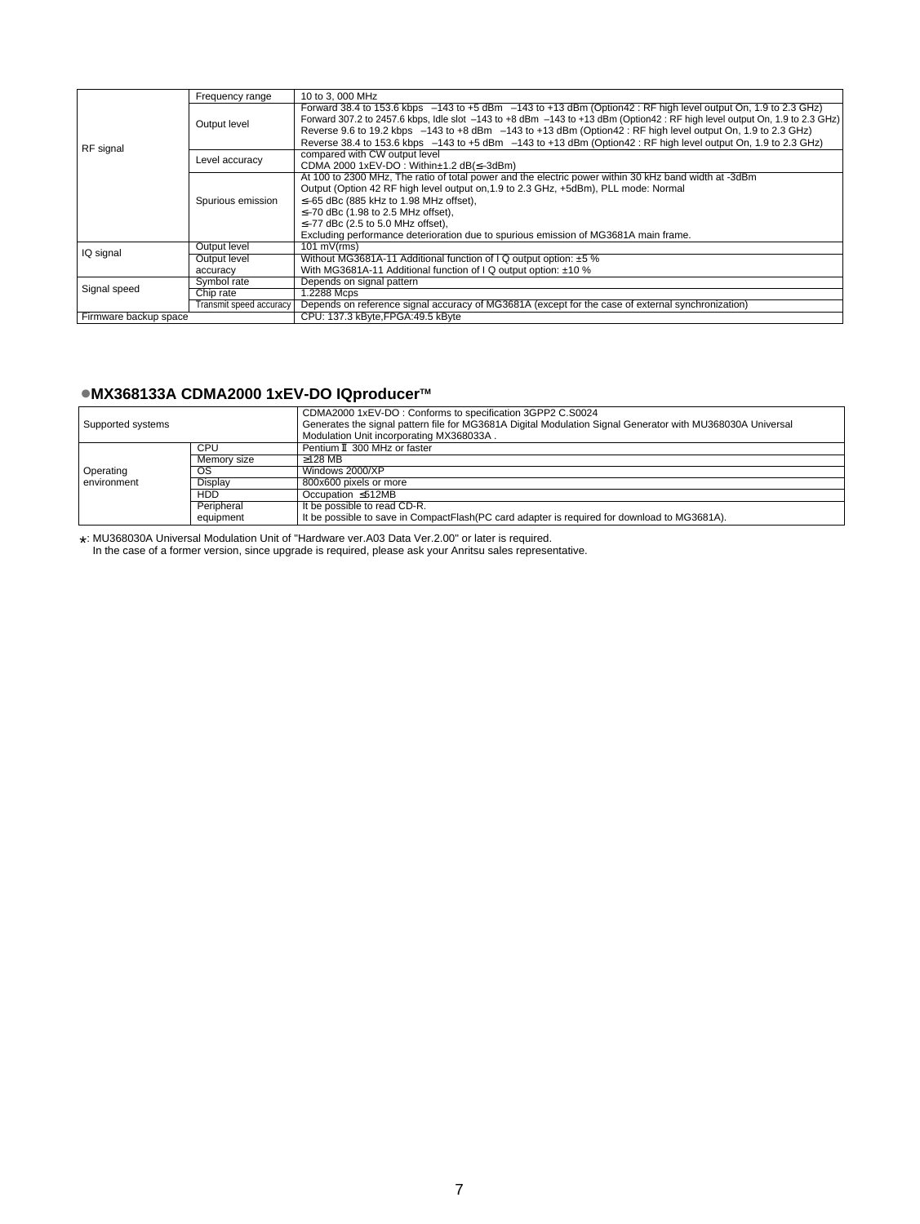|                       | Frequency range         | 10 to 3, 000 MHz                                                                                                            |
|-----------------------|-------------------------|-----------------------------------------------------------------------------------------------------------------------------|
|                       |                         | Forward 38.4 to 153.6 kbps -143 to +5 dBm -143 to +13 dBm (Option42 : RF high level output On, 1.9 to 2.3 GHz)              |
|                       | Output level            | Forward 307.2 to 2457.6 kbps, Idle slot -143 to +8 dBm -143 to +13 dBm (Option42 : RF high level output On, 1.9 to 2.3 GHz) |
|                       |                         | Reverse 9.6 to 19.2 kbps -143 to +8 dBm -143 to +13 dBm (Option42 : RF high level output On, 1.9 to 2.3 GHz)                |
| RF signal             |                         | Reverse 38.4 to 153.6 kbps -143 to +5 dBm -143 to +13 dBm (Option42 : RF high level output On, 1.9 to 2.3 GHz)              |
|                       | Level accuracy          | compared with CW output level                                                                                               |
|                       |                         | CDMA 2000 1xEV-DO : Within±1.2 dB(≤-3dBm)                                                                                   |
|                       |                         | At 100 to 2300 MHz, The ratio of total power and the electric power within 30 kHz band width at -3dBm                       |
|                       |                         | Output (Option 42 RF high level output on 1.9 to 2.3 GHz, +5dBm), PLL mode: Normal                                          |
|                       | Spurious emission       | $\leq$ -65 dBc (885 kHz to 1.98 MHz offset),                                                                                |
|                       |                         | $\leq$ -70 dBc (1.98 to 2.5 MHz offset),                                                                                    |
|                       |                         | $\leq$ -77 dBc (2.5 to 5.0 MHz offset),                                                                                     |
|                       |                         | Excluding performance deterioration due to spurious emission of MG3681A main frame.                                         |
| IQ signal             | Output level            | $101$ mV(rms)                                                                                                               |
|                       | Output level            | Without MG3681A-11 Additional function of I Q output option: ±5 %                                                           |
|                       | accuracy                | With MG3681A-11 Additional function of I Q output option: ±10 %                                                             |
|                       | Symbol rate             | Depends on signal pattern                                                                                                   |
| Signal speed          | Chip rate               | 1.2288 Mcps                                                                                                                 |
|                       | Transmit speed accuracy | Depends on reference signal accuracy of MG3681A (except for the case of external synchronization)                           |
| Firmware backup space |                         | CPU: 137.3 kByte, FPGA: 49.5 kByte                                                                                          |

# $●$ MX368133A CDMA2000 1xEV-DO IQproducer™

| Supported systems |             | CDMA2000 1xEV-DO: Conforms to specification 3GPP2 C.S0024<br>Generates the signal pattern file for MG3681A Digital Modulation Signal Generator with MU368030A Universal<br>Modulation Unit incorporating MX368033A. |
|-------------------|-------------|---------------------------------------------------------------------------------------------------------------------------------------------------------------------------------------------------------------------|
|                   | CPU         | Pentium II 300 MHz or faster                                                                                                                                                                                        |
|                   | Memory size | $\geq$ 128 MB                                                                                                                                                                                                       |
| Operating         | OS.         | Windows 2000/XP                                                                                                                                                                                                     |
| environment       | Display     | 800x600 pixels or more                                                                                                                                                                                              |
|                   | HDD.        | Occupation $\leq 512MB$                                                                                                                                                                                             |
|                   | Peripheral  | It be possible to read CD-R.                                                                                                                                                                                        |
|                   | equipment   | It be possible to save in CompactFlash(PC card adapter is required for download to MG3681A).                                                                                                                        |

\* : MU368030A Universal Modulation Unit of "Hardware ver.A03 Data Ver.2.00" or later is required.

In the case of a former version, since upgrade is required, please ask your Anritsu sales representative.